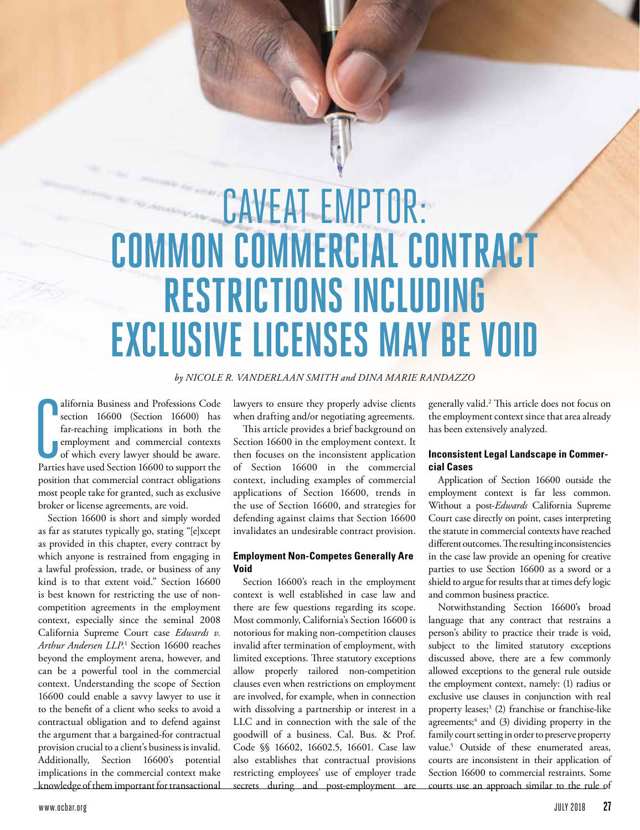# CAVEAT EMPTOR: **COMMON COMMERCIAL CONTRACT RESTRICTIONS INCLUDING EXCLUSIVE LICENSES MAY BE VOID**

## *by NICOLE R. VANDERLAAN SMITH and DINA MARIE RANDAZZO*

alifornia Business and Professions Code<br>section 16600 (Section 16600) has<br>far-reaching implications in both the<br>employment and commercial contexts<br>of which every lawyer should be aware.<br>Parties have used Section 16600 to s alifornia Business and Professions Code section 16600 (Section 16600) has far-reaching implications in both the employment and commercial contexts of which every lawyer should be aware. position that commercial contract obligations most people take for granted, such as exclusive broker or license agreements, are void.

Section 16600 is short and simply worded as far as statutes typically go, stating "[e]xcept as provided in this chapter, every contract by which anyone is restrained from engaging in a lawful profession, trade, or business of any kind is to that extent void." Section 16600 is best known for restricting the use of noncompetition agreements in the employment context, especially since the seminal 2008 California Supreme Court case *Edwards v. Arthur Andersen LLP.*<sup>1</sup> Section 16600 reaches beyond the employment arena, however, and can be a powerful tool in the commercial context. Understanding the scope of Section 16600 could enable a savvy lawyer to use it to the benefit of a client who seeks to avoid a contractual obligation and to defend against the argument that a bargained-for contractual provision crucial to a client's business is invalid. Additionally, Section 16600's potential implications in the commercial context make knowledge of them important for transactional

lawyers to ensure they properly advise clients when drafting and/or negotiating agreements.

This article provides a brief background on Section 16600 in the employment context. It then focuses on the inconsistent application of Section 16600 in the commercial context, including examples of commercial applications of Section 16600, trends in the use of Section 16600, and strategies for defending against claims that Section 16600 invalidates an undesirable contract provision.

## **Employment Non-Competes Generally Are Void**

Section 16600's reach in the employment context is well established in case law and there are few questions regarding its scope. Most commonly, California's Section 16600 is notorious for making non-competition clauses invalid after termination of employment, with limited exceptions. Three statutory exceptions allow properly tailored non-competition clauses even when restrictions on employment are involved, for example, when in connection with dissolving a partnership or interest in a LLC and in connection with the sale of the goodwill of a business. Cal. Bus. & Prof. Code §§ 16602, 16602.5, 16601. Case law also establishes that contractual provisions restricting employees' use of employer trade secrets during and post-employment are

generally valid.2 This article does not focus on the employment context since that area already has been extensively analyzed.

## **Inconsistent Legal Landscape in Commercial Cases**

Application of Section 16600 outside the employment context is far less common. Without a post-*Edwards* California Supreme Court case directly on point, cases interpreting the statute in commercial contexts have reached different outcomes. The resulting inconsistencies in the case law provide an opening for creative parties to use Section 16600 as a sword or a shield to argue for results that at times defy logic and common business practice.

Notwithstanding Section 16600's broad language that any contract that restrains a person's ability to practice their trade is void, subject to the limited statutory exceptions discussed above, there are a few commonly allowed exceptions to the general rule outside the employment context, namely: (1) radius or exclusive use clauses in conjunction with real property leases;3 (2) franchise or franchise-like agreements;<sup>4</sup> and (3) dividing property in the family court setting in order to preserve property value.5 Outside of these enumerated areas, courts are inconsistent in their application of Section 16600 to commercial restraints. Some courts use an approach similar to the rule of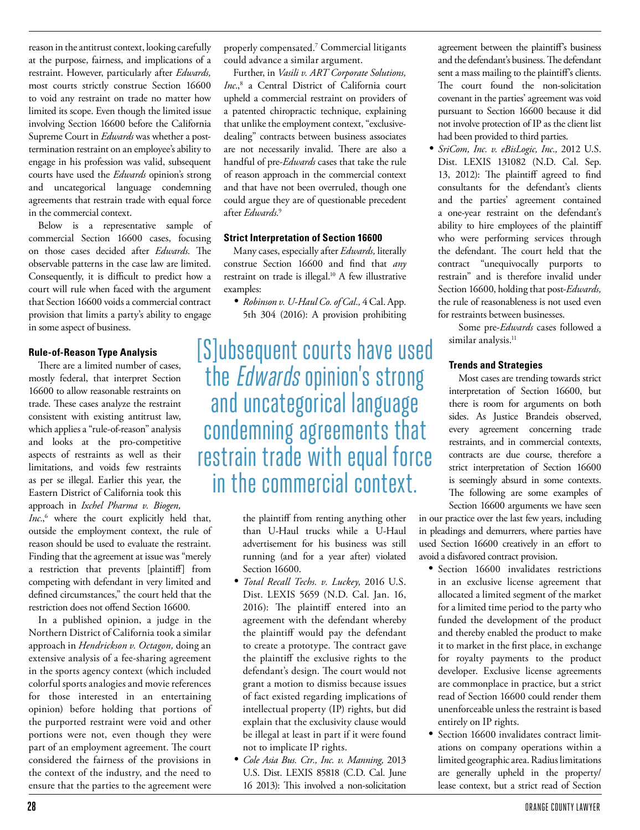reason in the antitrust context, looking carefully at the purpose, fairness, and implications of a restraint. However, particularly after *Edwards,* most courts strictly construe Section 16600 to void any restraint on trade no matter how limited its scope. Even though the limited issue involving Section 16600 before the California Supreme Court in *Edwards* was whether a posttermination restraint on an employee's ability to engage in his profession was valid, subsequent courts have used the *Edwards* opinion's strong and uncategorical language condemning agreements that restrain trade with equal force in the commercial context.

Below is a representative sample of commercial Section 16600 cases, focusing on those cases decided after *Edwards.* The observable patterns in the case law are limited. Consequently, it is difficult to predict how a court will rule when faced with the argument that Section 16600 voids a commercial contract provision that limits a party's ability to engage in some aspect of business.

## **Rule-of-Reason Type Analysis**

There are a limited number of cases, mostly federal, that interpret Section 16600 to allow reasonable restraints on trade. These cases analyze the restraint consistent with existing antitrust law, which applies a "rule-of-reason" analysis and looks at the pro-competitive aspects of restraints as well as their limitations, and voids few restraints as per se illegal. Earlier this year, the Eastern District of California took this approach in *Ixchel Pharma v. Biogen,* 

*Inc.*, 6 where the court explicitly held that, outside the employment context, the rule of reason should be used to evaluate the restraint. Finding that the agreement at issue was "merely a restriction that prevents [plaintiff] from competing with defendant in very limited and defined circumstances," the court held that the restriction does not offend Section 16600.

In a published opinion, a judge in the Northern District of California took a similar approach in *Hendrickson v. Octagon,* doing an extensive analysis of a fee-sharing agreement in the sports agency context (which included colorful sports analogies and movie references for those interested in an entertaining opinion) before holding that portions of the purported restraint were void and other portions were not, even though they were part of an employment agreement. The court considered the fairness of the provisions in the context of the industry, and the need to ensure that the parties to the agreement were

properly compensated.7 Commercial litigants could advance a similar argument.

Further, in *Vasili v. ART Corporate Solutions, Inc.*, 8 a Central District of California court upheld a commercial restraint on providers of a patented chiropractic technique, explaining that unlike the employment context, "exclusivedealing" contracts between business associates are not necessarily invalid. There are also a handful of pre-*Edwards* cases that take the rule of reason approach in the commercial context and that have not been overruled, though one could argue they are of questionable precedent after *Edwards.*<sup>9</sup>

#### **Strict Interpretation of Section 16600**

Many cases, especially after *Edwards,* literally construe Section 16600 and find that *any* restraint on trade is illegal.<sup>10</sup> A few illustrative examples:

*• Robinson v. U-Haul Co. of Cal.,* 4 Cal. App. 5th 304 (2016): A provision prohibiting

[S]ubsequent courts have used the Edwards opinion's strong and uncategorical language condemning agreements that restrain trade with equal force in the commercial context.

> the plaintiff from renting anything other than U-Haul trucks while a U-Haul advertisement for his business was still running (and for a year after) violated Section 16600.

- *• Total Recall Techs. v. Luckey,* 2016 U.S. Dist. LEXIS 5659 (N.D. Cal. Jan. 16, 2016): The plaintiff entered into an agreement with the defendant whereby the plaintiff would pay the defendant to create a prototype. The contract gave the plaintiff the exclusive rights to the defendant's design. The court would not grant a motion to dismiss because issues of fact existed regarding implications of intellectual property (IP) rights, but did explain that the exclusivity clause would be illegal at least in part if it were found not to implicate IP rights.
- *• Cole Asia Bus. Ctr., Inc. v. Manning,* 2013 U.S. Dist. LEXIS 85818 (C.D. Cal. June 16 2013): This involved a non-solicitation

agreement between the plaintiff's business and the defendant's business. The defendant sent a mass mailing to the plaintiff's clients. The court found the non-solicitation covenant in the parties' agreement was void pursuant to Section 16600 because it did not involve protection of IP as the client list had been provided to third parties.

*• SriCom, Inc. v. eBisLogic, Inc.,* 2012 U.S. Dist. LEXIS 131082 (N.D. Cal. Sep. 13, 2012): The plaintiff agreed to find consultants for the defendant's clients and the parties' agreement contained a one-year restraint on the defendant's ability to hire employees of the plaintiff who were performing services through the defendant. The court held that the contract "unequivocally purports to restrain" and is therefore invalid under Section 16600, holding that post-*Edwards,* the rule of reasonableness is not used even for restraints between businesses.

> Some pre-*Edwards* cases followed a similar analysis.<sup>11</sup>

### **Trends and Strategies**

Most cases are trending towards strict interpretation of Section 16600, but there is room for arguments on both sides. As Justice Brandeis observed, every agreement concerning trade restraints, and in commercial contexts, contracts are due course, therefore a strict interpretation of Section 16600 is seemingly absurd in some contexts. The following are some examples of Section 16600 arguments we have seen

in our practice over the last few years, including in pleadings and demurrers, where parties have used Section 16600 creatively in an effort to avoid a disfavored contract provision.

- Section 16600 invalidates restrictions in an exclusive license agreement that allocated a limited segment of the market for a limited time period to the party who funded the development of the product and thereby enabled the product to make it to market in the first place, in exchange for royalty payments to the product developer. Exclusive license agreements are commonplace in practice, but a strict read of Section 16600 could render them unenforceable unless the restraint is based entirely on IP rights.
- Section 16600 invalidates contract limitations on company operations within a limited geographic area. Radius limitations are generally upheld in the property/ lease context, but a strict read of Section